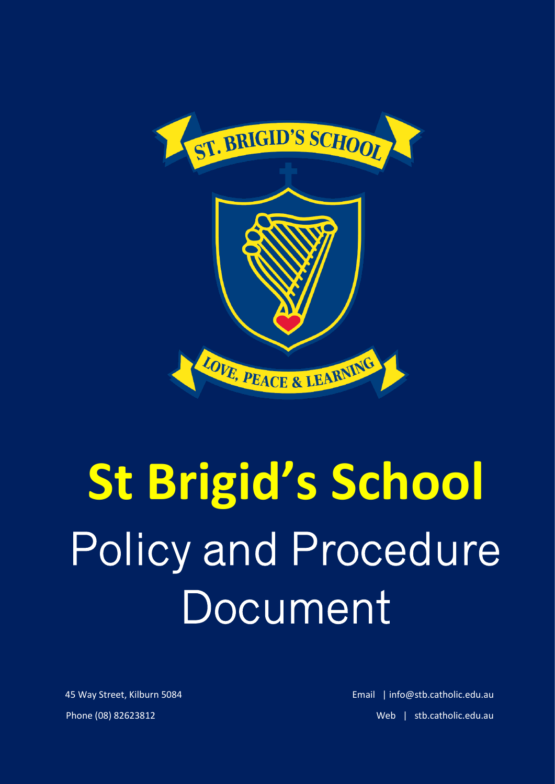

# **St Brigid's School** Policy and Procedure **Document**

 45 Way Street, Kilburn 5084 Email | info@stb.catholic.edu.au Phone (08) 82623812 Web | stb.catholic.edu.au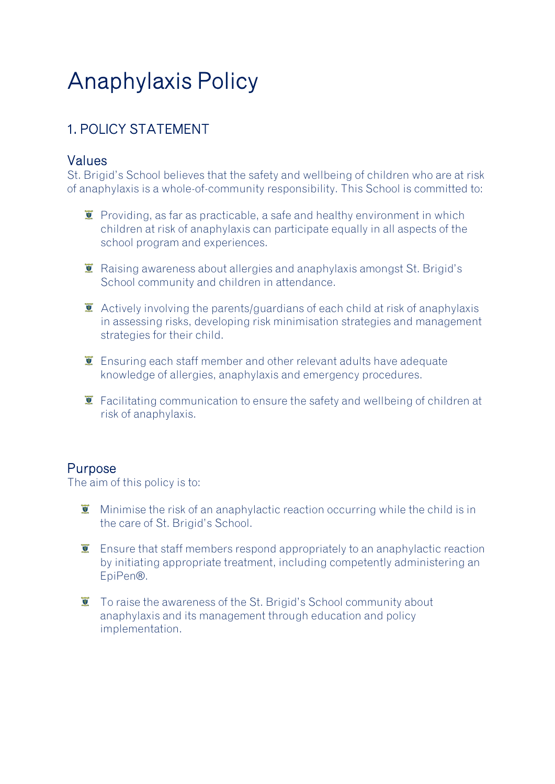# Anaphylaxis Policy

## 1. POLICY STATEMENT

#### Values

St. Brigid's School believes that the safety and wellbeing of children who are at risk of anaphylaxis is a whole-of-community responsibility. This School is committed to:

- $\ddot{\mathbf{r}}$  Providing, as far as practicable, a safe and healthy environment in which children at risk of anaphylaxis can participate equally in all aspects of the school program and experiences.
- $\bar{I}$  Raising awareness about allergies and anaphylaxis amongst St. Brigid's School community and children in attendance.
- $\bullet$  Actively involving the parents/guardians of each child at risk of anaphylaxis in assessing risks, developing risk minimisation strategies and management strategies for their child.
- $\bar{I}$  Ensuring each staff member and other relevant adults have adequate knowledge of allergies, anaphylaxis and emergency procedures.
- $\ddot{\mathbf{I}}$  Facilitating communication to ensure the safety and wellbeing of children at risk of anaphylaxis.

#### Purpose

The aim of this policy is to:

- $\ddot{\mathbf{r}}$  Minimise the risk of an anaphylactic reaction occurring while the child is in the care of St. Brigid's School.
- **E** Ensure that staff members respond appropriately to an anaphylactic reaction by initiating appropriate treatment, including competently administering an EpiPen®.
- **T** To raise the awareness of the St. Brigid's School community about anaphylaxis and its management through education and policy implementation.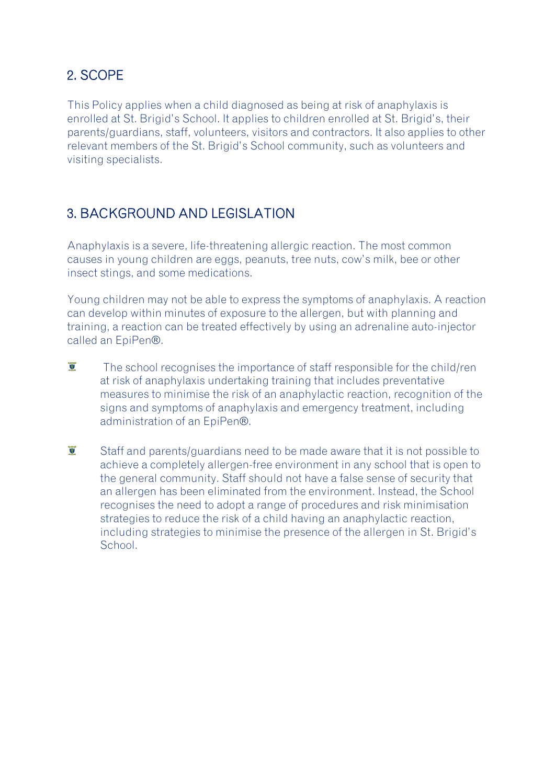#### 2. SCOPE

This Policy applies when a child diagnosed as being at risk of anaphylaxis is enrolled at St. Brigid's School. It applies to children enrolled at St. Brigid's, their parents/guardians, staff, volunteers, visitors and contractors. It also applies to other relevant members of the St. Brigid's School community, such as volunteers and visiting specialists.

#### 3. BACKGROUND AND LEGISLATION

Anaphylaxis is a severe, life-threatening allergic reaction. The most common causes in young children are eggs, peanuts, tree nuts, cow's milk, bee or other insect stings, and some medications.

Young children may not be able to express the symptoms of anaphylaxis. A reaction can develop within minutes of exposure to the allergen, but with planning and training, a reaction can be treated effectively by using an adrenaline auto-injector called an EpiPen®.

- $\overline{\mathbf{y}}$ The school recognises the importance of staff responsible for the child/ren at risk of anaphylaxis undertaking training that includes preventative measures to minimise the risk of an anaphylactic reaction, recognition of the signs and symptoms of anaphylaxis and emergency treatment, including administration of an EpiPen®.
- $\overline{S}$ Staff and parents/guardians need to be made aware that it is not possible to achieve a completely allergen-free environment in any school that is open to the general community. Staff should not have a false sense of security that an allergen has been eliminated from the environment. Instead, the School recognises the need to adopt a range of procedures and risk minimisation strategies to reduce the risk of a child having an anaphylactic reaction, including strategies to minimise the presence of the allergen in St. Brigid's School.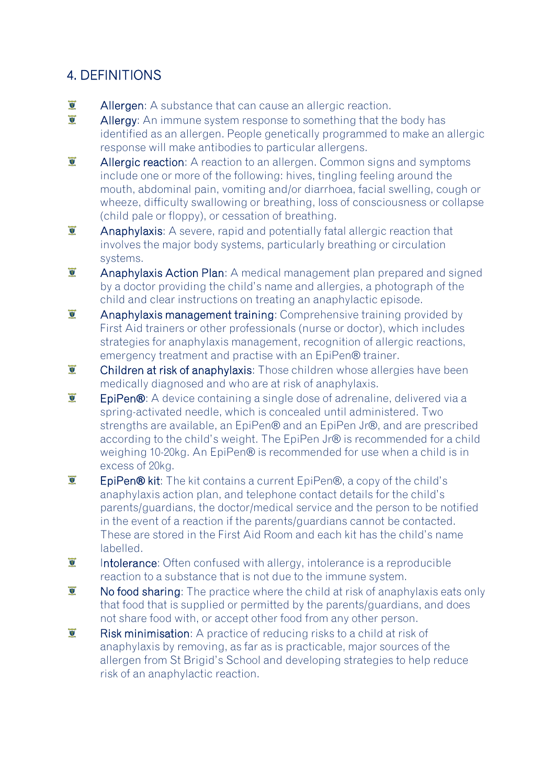### 4. DEFINITIONS

- $\overline{2}$ Allergen: A substance that can cause an allergic reaction.
- $\overline{v}$ Allergy: An immune system response to something that the body has identified as an allergen. People genetically programmed to make an allergic response will make antibodies to particular allergens.
- $\overline{\mathbf{y}}$ Allergic reaction: A reaction to an allergen. Common signs and symptoms include one or more of the following: hives, tingling feeling around the mouth, abdominal pain, vomiting and/or diarrhoea, facial swelling, cough or wheeze, difficulty swallowing or breathing, loss of consciousness or collapse (child pale or floppy), or cessation of breathing.
- $\overline{\mathbf{y}}$ Anaphylaxis: A severe, rapid and potentially fatal allergic reaction that involves the major body systems, particularly breathing or circulation systems.
- $\overline{S}$ Anaphylaxis Action Plan: A medical management plan prepared and signed by a doctor providing the child's name and allergies, a photograph of the child and clear instructions on treating an anaphylactic episode.
- $\overline{\mathbf{y}}$ Anaphylaxis management training: Comprehensive training provided by First Aid trainers or other professionals (nurse or doctor), which includes strategies for anaphylaxis management, recognition of allergic reactions, emergency treatment and practise with an EpiPen® trainer.
- $\overline{\mathbf{y}}$ Children at risk of anaphylaxis: Those children whose allergies have been medically diagnosed and who are at risk of anaphylaxis.
- $\overline{S}$ EpiPen®: A device containing a single dose of adrenaline, delivered via a spring-activated needle, which is concealed until administered. Two strengths are available, an EpiPen® and an EpiPen Jr®, and are prescribed according to the child's weight. The EpiPen Jr® is recommended for a child weighing 10-20kg. An EpiPen® is recommended for use when a child is in excess of 20kg.
- $\overline{\mathbf{y}}$ EpiPen® kit: The kit contains a current EpiPen®, a copy of the child's anaphylaxis action plan, and telephone contact details for the child's parents/guardians, the doctor/medical service and the person to be notified in the event of a reaction if the parents/guardians cannot be contacted. These are stored in the First Aid Room and each kit has the child's name labelled.
- $\overline{\bullet}$ Intolerance: Often confused with allergy, intolerance is a reproducible reaction to a substance that is not due to the immune system.
- $\overline{\mathbf{y}}$ No food sharing: The practice where the child at risk of anaphylaxis eats only that food that is supplied or permitted by the parents/guardians, and does not share food with, or accept other food from any other person.
- $\overline{\mathbf{y}}$ Risk minimisation: A practice of reducing risks to a child at risk of anaphylaxis by removing, as far as is practicable, major sources of the allergen from St Brigid's School and developing strategies to help reduce risk of an anaphylactic reaction.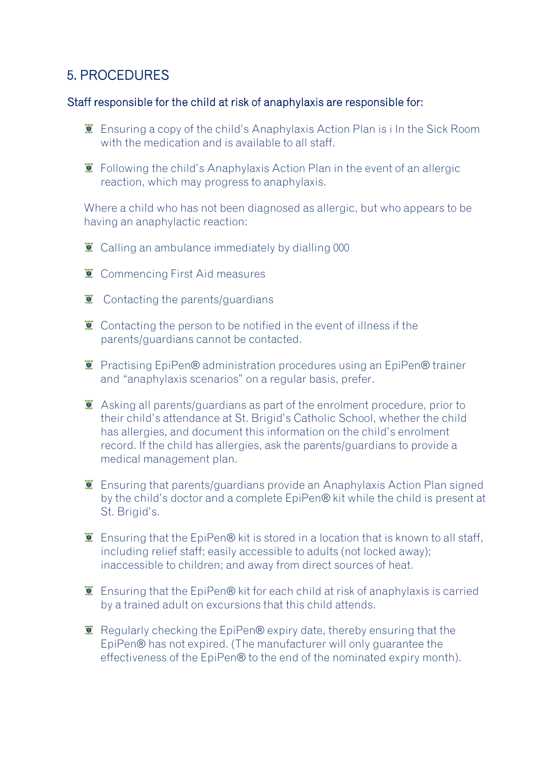#### 5. PROCEDURES

#### Staff responsible for the child at risk of anaphylaxis are responsible for:

- Ensuring a copy of the child's Anaphylaxis Action Plan is i In the Sick Room with the medication and is available to all staff.
- $\ddot{\mathbf{I}}$  Following the child's Anaphylaxis Action Plan in the event of an allergic reaction, which may progress to anaphylaxis.

Where a child who has not been diagnosed as allergic, but who appears to be having an anaphylactic reaction:

- $\overline{\bullet}$  Calling an ambulance immediately by dialling 000
- $\overline{\bullet}$  Commencing First Aid measures
- $\ddot{\mathbf{z}}$  Contacting the parents/guardians
- $\bullet$  Contacting the person to be notified in the event of illness if the parents/guardians cannot be contacted.
- **E** Practising EpiPen® administration procedures using an EpiPen® trainer and "anaphylaxis scenarios" on a regular basis, prefer.
- $\ddot{\mathbf{I}}$  Asking all parents/guardians as part of the enrolment procedure, prior to their child's attendance at St. Brigid's Catholic School, whether the child has allergies, and document this information on the child's enrolment record. If the child has allergies, ask the parents/guardians to provide a medical management plan.
- $\ddot{\mathbf{I}}$  Ensuring that parents/guardians provide an Anaphylaxis Action Plan signed by the child's doctor and a complete EpiPen® kit while the child is present at St. Brigid's.
- $\ddot{\mathbf{I}}$  Ensuring that the EpiPen® kit is stored in a location that is known to all staff, including relief staff; easily accessible to adults (not locked away); inaccessible to children; and away from direct sources of heat.
- $\ddot{\mathbf{I}}$  Ensuring that the EpiPen® kit for each child at risk of anaphylaxis is carried by a trained adult on excursions that this child attends.
- $\bar{L}$  Regularly checking the EpiPen® expiry date, thereby ensuring that the EpiPen® has not expired. (The manufacturer will only guarantee the effectiveness of the EpiPen® to the end of the nominated expiry month).